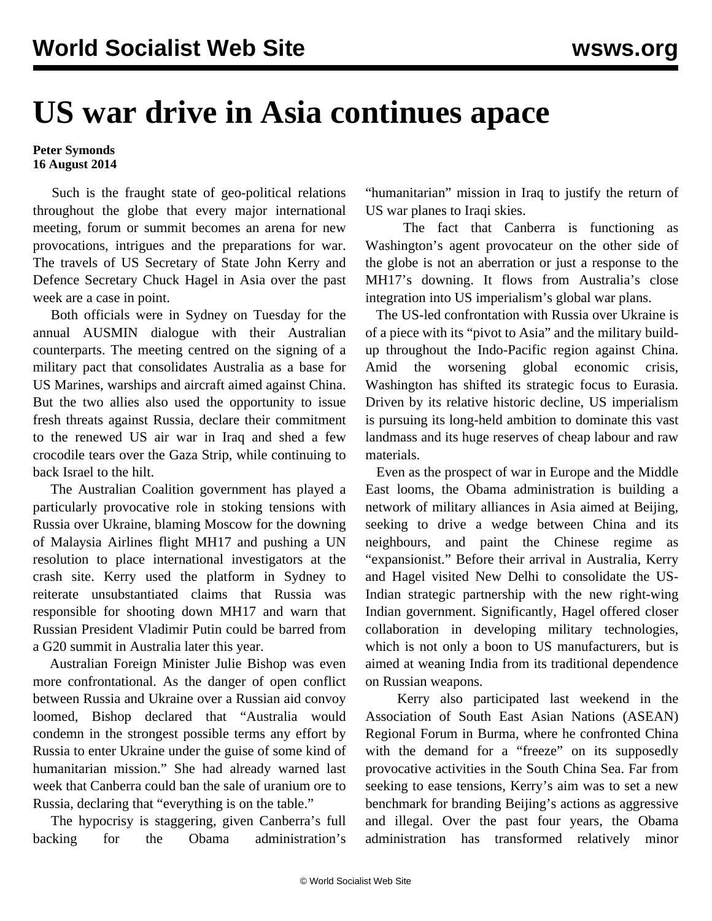## **US war drive in Asia continues apace**

## **Peter Symonds 16 August 2014**

 Such is the fraught state of geo-political relations throughout the globe that every major international meeting, forum or summit becomes an arena for new provocations, intrigues and the preparations for war. The travels of US Secretary of State John Kerry and Defence Secretary Chuck Hagel in Asia over the past week are a case in point.

 Both officials were in Sydney on Tuesday for the annual AUSMIN dialogue with their Australian counterparts. The meeting centred on the signing of a military pact that consolidates Australia as a base for US Marines, warships and aircraft aimed against China. But the two allies also used the opportunity to issue fresh threats against Russia, declare their commitment to the renewed US air war in Iraq and shed a few crocodile tears over the Gaza Strip, while continuing to back Israel to the hilt.

 The Australian Coalition government has played a particularly provocative role in stoking tensions with Russia over Ukraine, blaming Moscow for the downing of Malaysia Airlines flight MH17 and pushing a UN resolution to place international investigators at the crash site. Kerry used the platform in Sydney to reiterate unsubstantiated claims that Russia was responsible for shooting down MH17 and warn that Russian President Vladimir Putin could be barred from a G20 summit in Australia later this year.

 Australian Foreign Minister Julie Bishop was even more confrontational. As the danger of open conflict between Russia and Ukraine over a Russian aid convoy loomed, Bishop declared that "Australia would condemn in the strongest possible terms any effort by Russia to enter Ukraine under the guise of some kind of humanitarian mission." She had already warned last week that Canberra could ban the sale of uranium ore to Russia, declaring that "everything is on the table."

 The hypocrisy is staggering, given Canberra's full backing for the Obama administration's

"humanitarian" mission in Iraq to justify the return of US war planes to Iraqi skies.

 The fact that Canberra is functioning as Washington's agent provocateur on the other side of the globe is not an aberration or just a response to the MH17's downing. It flows from Australia's close integration into US imperialism's global war plans.

 The US-led confrontation with Russia over Ukraine is of a piece with its "pivot to Asia" and the military buildup throughout the Indo-Pacific region against China. Amid the worsening global economic crisis, Washington has shifted its strategic focus to Eurasia. Driven by its relative historic decline, US imperialism is pursuing its long-held ambition to dominate this vast landmass and its huge reserves of cheap labour and raw materials.

 Even as the prospect of war in Europe and the Middle East looms, the Obama administration is building a network of military alliances in Asia aimed at Beijing, seeking to drive a wedge between China and its neighbours, and paint the Chinese regime as "expansionist." Before their arrival in Australia, Kerry and Hagel visited New Delhi to consolidate the US-Indian strategic partnership with the new right-wing Indian government. Significantly, Hagel offered closer collaboration in developing military technologies, which is not only a boon to US manufacturers, but is aimed at weaning India from its traditional dependence on Russian weapons.

 Kerry also participated last weekend in the Association of South East Asian Nations (ASEAN) Regional Forum in Burma, where he confronted China with the demand for a "freeze" on its supposedly provocative activities in the South China Sea. Far from seeking to ease tensions, Kerry's aim was to set a new benchmark for branding Beijing's actions as aggressive and illegal. Over the past four years, the Obama administration has transformed relatively minor